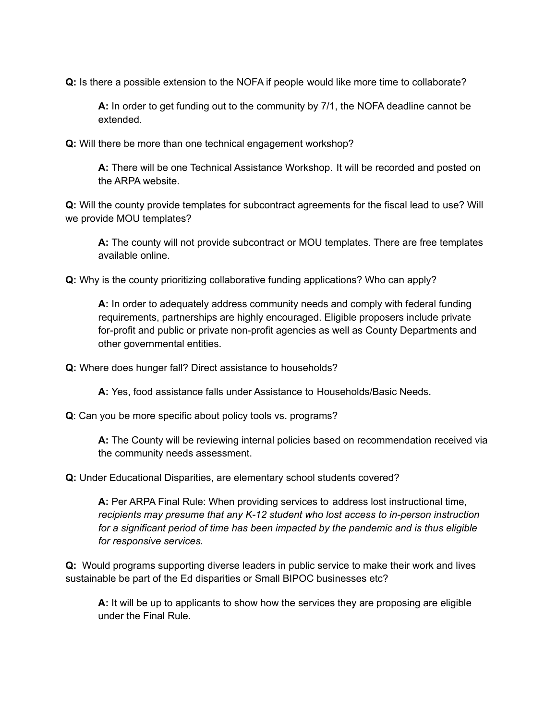**Q:** Is there a possible extension to the NOFA if people would like more time to collaborate?

 **A:** In order to get funding out to the community by 7/1, the NOFA deadline cannot be extended.

**Q:** Will there be more than one technical engagement workshop?

 **A:** There will be one Technical Assistance Workshop. It will be recorded and posted on the ARPA website.

 **Q:** Will the county provide templates for subcontract agreements for the fiscal lead to use? Will we provide MOU templates?

 **A:** The county will not provide subcontract or MOU templates. There are free templates available online.

**Q:** Why is the county prioritizing collaborative funding applications? Who can apply?

 **A:** In order to adequately address community needs and comply with federal funding requirements, partnerships are highly encouraged. Eligible proposers include private for-profit and public or private non-profit agencies as well as County Departments and other governmental entities.

**Q:** Where does hunger fall? Direct assistance to households?

**A:** Yes, food assistance falls under Assistance to Households/Basic Needs.

**Q**: Can you be more specific about policy tools vs. programs?

 **A:** The County will be reviewing internal policies based on recommendation received via the community needs assessment.

**Q:** Under Educational Disparities, are elementary school students covered?

 **A:** Per ARPA Final Rule: When providing services to address lost instructional time,  *recipients may presume that any K-12 student who lost access to in-person instruction for a significant period of time has been impacted by the pandemic and is thus eligible for responsive services.*

 **Q:** Would programs supporting diverse leaders in public service to make their work and lives sustainable be part of the Ed disparities or Small BIPOC businesses etc?

 **A:** It will be up to applicants to show how the services they are proposing are eligible under the Final Rule.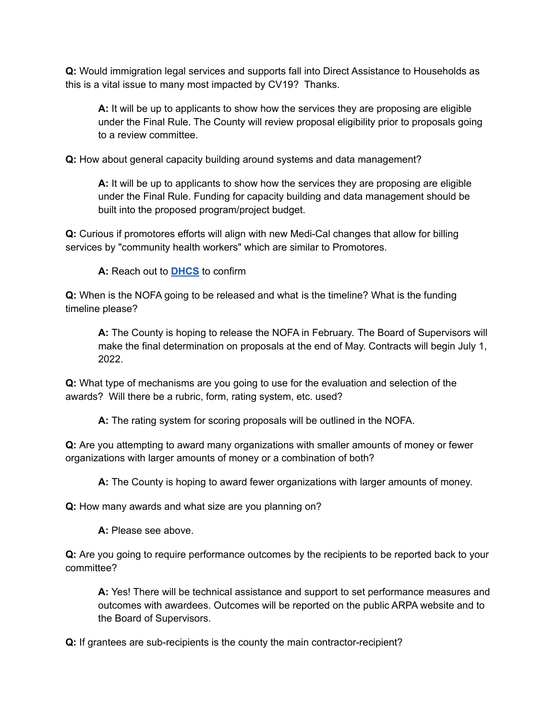**Q:** Would immigration legal services and supports fall into Direct Assistance to Households as this is a vital issue to many most impacted by CV19? Thanks.

 **A:** It will be up to applicants to show how the services they are proposing are eligible under the Final Rule. The County will review proposal eligibility prior to proposals going to a review committee.

**Q:** How about general capacity building around systems and data management?

 **A:** It will be up to applicants to show how the services they are proposing are eligible under the Final Rule. Funding for capacity building and data management should be built into the proposed program/project budget.

 **Q:** Curious if promotores efforts will align with new Medi-Cal changes that allow for billing services by "community health workers" which are similar to Promotores.

**A:** Reach out to **[DHCS](https://www.dhcs.ca.gov/)** to confirm

 **Q:** When is the NOFA going to be released and what is the timeline? What is the funding timeline please?

 **A:** The County is hoping to release the NOFA in February. The Board of Supervisors will make the final determination on proposals at the end of May. Contracts will begin July 1, 2022.

 **Q:** What type of mechanisms are you going to use for the evaluation and selection of the awards? Will there be a rubric, form, rating system, etc. used?

**A:** The rating system for scoring proposals will be outlined in the NOFA.

 **Q:** Are you attempting to award many organizations with smaller amounts of money or fewer organizations with larger amounts of money or a combination of both?

**A:** The County is hoping to award fewer organizations with larger amounts of money.

**Q:** How many awards and what size are you planning on?

**A:** Please see above.

 **Q:** Are you going to require performance outcomes by the recipients to be reported back to your committee?

 **A:** Yes! There will be technical assistance and support to set performance measures and outcomes with awardees. Outcomes will be reported on the public ARPA website and to the Board of Supervisors.

**Q:** If grantees are sub-recipients is the county the main contractor-recipient?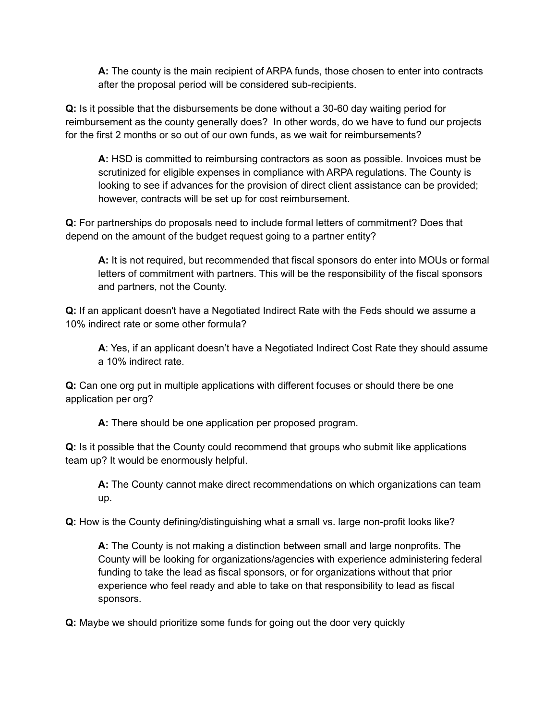**A:** The county is the main recipient of ARPA funds, those chosen to enter into contracts after the proposal period will be considered sub-recipients.

 **Q:** Is it possible that the disbursements be done without a 30-60 day waiting period for reimbursement as the county generally does? In other words, do we have to fund our projects for the first 2 months or so out of our own funds, as we wait for reimbursements?

 **A:** HSD is committed to reimbursing contractors as soon as possible. Invoices must be scrutinized for eligible expenses in compliance with ARPA regulations. The County is looking to see if advances for the provision of direct client assistance can be provided; however, contracts will be set up for cost reimbursement.

 **Q:** For partnerships do proposals need to include formal letters of commitment? Does that depend on the amount of the budget request going to a partner entity?

 **A:** It is not required, but recommended that fiscal sponsors do enter into MOUs or formal letters of commitment with partners. This will be the responsibility of the fiscal sponsors and partners, not the County.

 **Q:** If an applicant doesn't have a Negotiated Indirect Rate with the Feds should we assume a 10% indirect rate or some other formula?

 **A**: Yes, if an applicant doesn't have a Negotiated Indirect Cost Rate they should assume a 10% indirect rate.

 **Q:** Can one org put in multiple applications with different focuses or should there be one application per org?

**A:** There should be one application per proposed program.

 **Q:** Is it possible that the County could recommend that groups who submit like applications team up? It would be enormously helpful.

 **A:** The County cannot make direct recommendations on which organizations can team up.

**Q:** How is the County defining/distinguishing what a small vs. large non-profit looks like?

 **A:** The County is not making a distinction between small and large nonprofits. The County will be looking for organizations/agencies with experience administering federal funding to take the lead as fiscal sponsors, or for organizations without that prior experience who feel ready and able to take on that responsibility to lead as fiscal sponsors.

**Q:** Maybe we should prioritize some funds for going out the door very quickly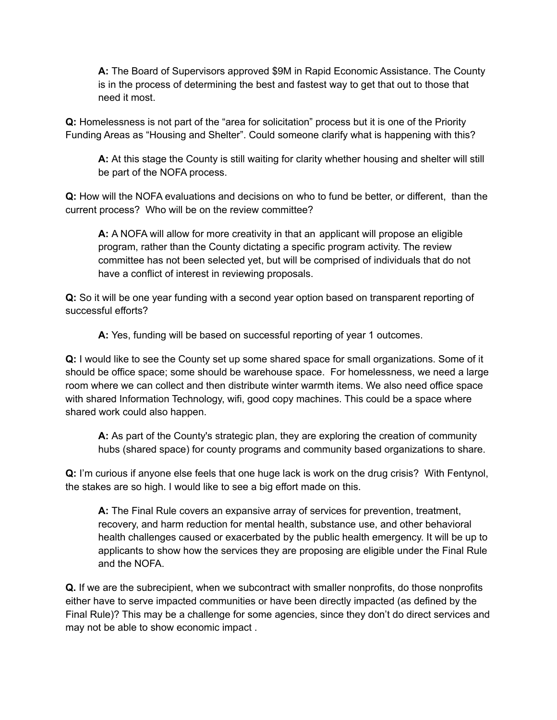**A:** The Board of Supervisors approved \$9M in Rapid Economic Assistance. The County is in the process of determining the best and fastest way to get that out to those that need it most.

 **Q:** Homelessness is not part of the "area for solicitation" process but it is one of the Priority Funding Areas as "Housing and Shelter". Could someone clarify what is happening with this?

 **A:** At this stage the County is still waiting for clarity whether housing and shelter will still be part of the NOFA process.

 **Q:** How will the NOFA evaluations and decisions on who to fund be better, or different, than the current process? Who will be on the review committee?

 **A:** A NOFA will allow for more creativity in that an applicant will propose an eligible program, rather than the County dictating a specific program activity. The review committee has not been selected yet, but will be comprised of individuals that do not have a conflict of interest in reviewing proposals.

 **Q:** So it will be one year funding with a second year option based on transparent reporting of successful efforts?

**A:** Yes, funding will be based on successful reporting of year 1 outcomes.

 **Q:** I would like to see the County set up some shared space for small organizations. Some of it should be office space; some should be warehouse space. For homelessness, we need a large room where we can collect and then distribute winter warmth items. We also need office space with shared Information Technology, wifi, good copy machines. This could be a space where shared work could also happen.

 **A:** As part of the County's strategic plan, they are exploring the creation of community hubs (shared space) for county programs and community based organizations to share.

 **Q:** I'm curious if anyone else feels that one huge lack is work on the drug crisis? With Fentynol, the stakes are so high. I would like to see a big effort made on this.

 **A:** The Final Rule covers an expansive array of services for prevention, treatment, recovery, and harm reduction for mental health, substance use, and other behavioral health challenges caused or exacerbated by the public health emergency. It will be up to applicants to show how the services they are proposing are eligible under the Final Rule and the NOFA.

 **Q.** If we are the subrecipient, when we subcontract with smaller nonprofits, do those nonprofits either have to serve impacted communities or have been directly impacted (as defined by the Final Rule)? This may be a challenge for some agencies, since they don't do direct services and may not be able to show economic impact .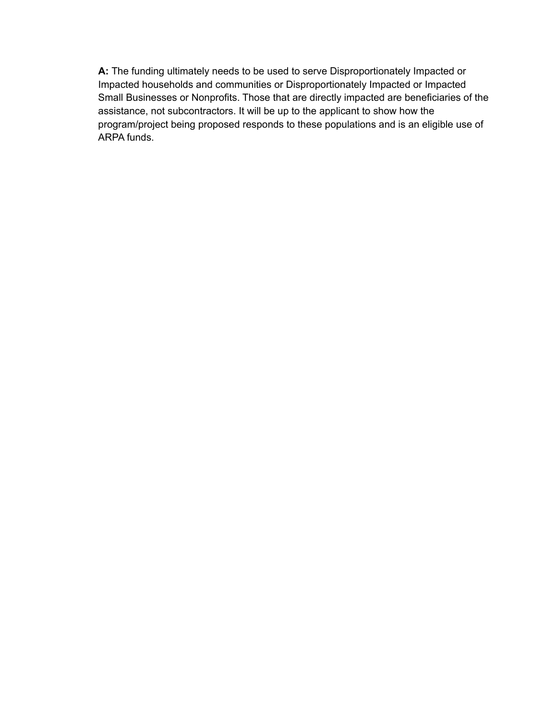**A:** The funding ultimately needs to be used to serve Disproportionately Impacted or Impacted households and communities or Disproportionately Impacted or Impacted Small Businesses or Nonprofits. Those that are directly impacted are beneficiaries of the assistance, not subcontractors. It will be up to the applicant to show how the program/project being proposed responds to these populations and is an eligible use of ARPA funds.